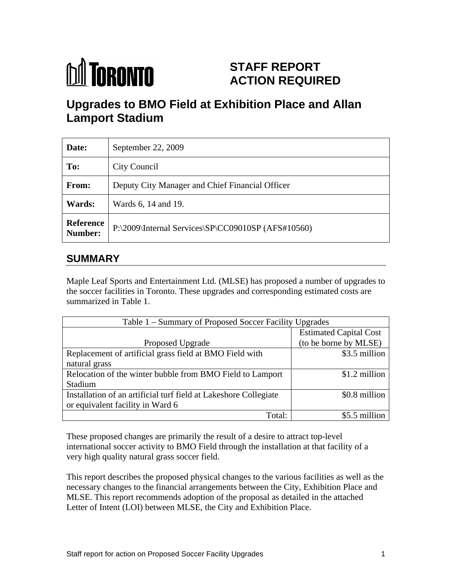

# **STAFF REPORT ACTION REQUIRED**

# **Upgrades to BMO Field at Exhibition Place and Allan Lamport Stadium**

| Date:                | September 22, 2009                                 |
|----------------------|----------------------------------------------------|
| To:                  | City Council                                       |
| From:                | Deputy City Manager and Chief Financial Officer    |
| Wards:               | Wards 6, 14 and 19.                                |
| Reference<br>Number: | P:\2009\Internal Services\SP\CC09010SP (AFS#10560) |

## **SUMMARY**

Maple Leaf Sports and Entertainment Ltd. (MLSE) has proposed a number of upgrades to the soccer facilities in Toronto. These upgrades and corresponding estimated costs are

| summarized in Table 1.                                                                               |                                                        |  |
|------------------------------------------------------------------------------------------------------|--------------------------------------------------------|--|
| Table 1 - Summary of Proposed Soccer Facility Upgrades                                               |                                                        |  |
| Proposed Upgrade                                                                                     | <b>Estimated Capital Cost</b><br>(to be borne by MLSE) |  |
| Replacement of artificial grass field at BMO Field with<br>natural grass                             | \$3.5 million                                          |  |
| Relocation of the winter bubble from BMO Field to Lamport<br>Stadium                                 | \$1.2 million                                          |  |
| Installation of an artificial turf field at Lakeshore Collegiate<br>or equivalent facility in Ward 6 | $$0.8$ million                                         |  |
| Total:                                                                                               | \$5.5 million                                          |  |

These proposed changes are primarily the result of a desire to attract top-level international soccer activity to BMO Field through the installation at that facility of a very high quality natural grass soccer field.

This report describes the proposed physical changes to the various facilities as well as the necessary changes to the financial arrangements between the City, Exhibition Place and MLSE. This report recommends adoption of the proposal as detailed in the attached Letter of Intent (LOI) between MLSE, the City and Exhibition Place.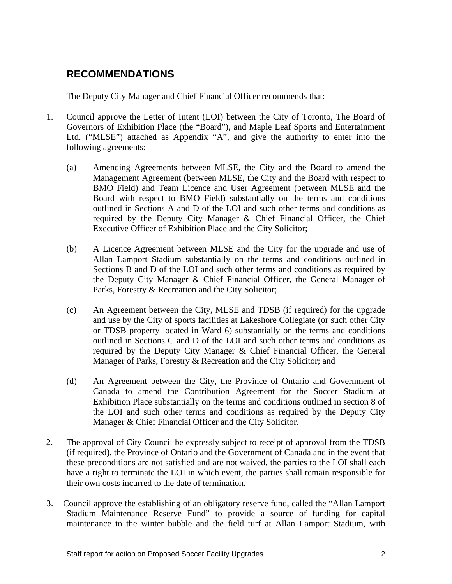## **RECOMMENDATIONS**

The Deputy City Manager and Chief Financial Officer recommends that:

- 1. Council approve the Letter of Intent (LOI) between the City of Toronto, The Board of Governors of Exhibition Place (the "Board"), and Maple Leaf Sports and Entertainment Ltd. ("MLSE") attached as Appendix "A", and give the authority to enter into the following agreements:
	- (a) Amending Agreements between MLSE, the City and the Board to amend the Management Agreement (between MLSE, the City and the Board with respect to BMO Field) and Team Licence and User Agreement (between MLSE and the Board with respect to BMO Field) substantially on the terms and conditions outlined in Sections A and D of the LOI and such other terms and conditions as required by the Deputy City Manager & Chief Financial Officer, the Chief Executive Officer of Exhibition Place and the City Solicitor;
	- (b) A Licence Agreement between MLSE and the City for the upgrade and use of Allan Lamport Stadium substantially on the terms and conditions outlined in Sections B and D of the LOI and such other terms and conditions as required by the Deputy City Manager & Chief Financial Officer, the General Manager of Parks, Forestry & Recreation and the City Solicitor;
	- (c) An Agreement between the City, MLSE and TDSB (if required) for the upgrade and use by the City of sports facilities at Lakeshore Collegiate (or such other City or TDSB property located in Ward 6) substantially on the terms and conditions outlined in Sections C and D of the LOI and such other terms and conditions as required by the Deputy City Manager & Chief Financial Officer, the General Manager of Parks, Forestry & Recreation and the City Solicitor; and
	- (d) An Agreement between the City, the Province of Ontario and Government of Canada to amend the Contribution Agreement for the Soccer Stadium at Exhibition Place substantially on the terms and conditions outlined in section 8 of the LOI and such other terms and conditions as required by the Deputy City Manager & Chief Financial Officer and the City Solicitor.
- 2. The approval of City Council be expressly subject to receipt of approval from the TDSB (if required), the Province of Ontario and the Government of Canada and in the event that these preconditions are not satisfied and are not waived, the parties to the LOI shall each have a right to terminate the LOI in which event, the parties shall remain responsible for their own costs incurred to the date of termination.
- 3. Council approve the establishing of an obligatory reserve fund, called the "Allan Lamport Stadium Maintenance Reserve Fund" to provide a source of funding for capital maintenance to the winter bubble and the field turf at Allan Lamport Stadium, with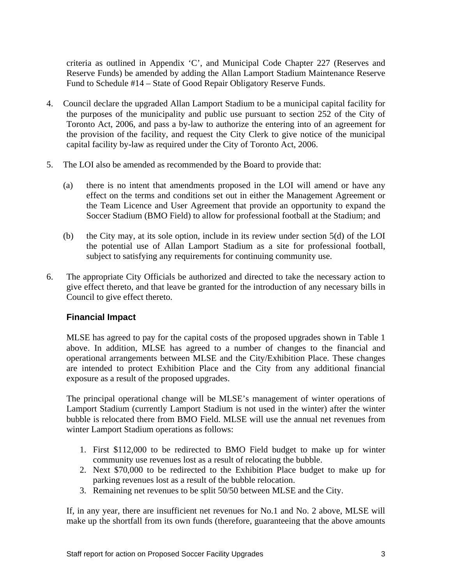criteria as outlined in Appendix 'C', and Municipal Code Chapter 227 (Reserves and Reserve Funds) be amended by adding the Allan Lamport Stadium Maintenance Reserve Fund to Schedule #14 – State of Good Repair Obligatory Reserve Funds.

- 4. Council declare the upgraded Allan Lamport Stadium to be a municipal capital facility for the purposes of the municipality and public use pursuant to section 252 of the City of Toronto Act, 2006, and pass a by-law to authorize the entering into of an agreement for the provision of the facility, and request the City Clerk to give notice of the municipal capital facility by-law as required under the City of Toronto Act, 2006.
- 5. The LOI also be amended as recommended by the Board to provide that:
	- (a) there is no intent that amendments proposed in the LOI will amend or have any effect on the terms and conditions set out in either the Management Agreement or the Team Licence and User Agreement that provide an opportunity to expand the Soccer Stadium (BMO Field) to allow for professional football at the Stadium; and
	- (b) the City may, at its sole option, include in its review under section 5(d) of the LOI the potential use of Allan Lamport Stadium as a site for professional football, subject to satisfying any requirements for continuing community use.
- 6. The appropriate City Officials be authorized and directed to take the necessary action to give effect thereto, and that leave be granted for the introduction of any necessary bills in Council to give effect thereto.

#### **Financial Impact**

MLSE has agreed to pay for the capital costs of the proposed upgrades shown in Table 1 above. In addition, MLSE has agreed to a number of changes to the financial and operational arrangements between MLSE and the City/Exhibition Place. These changes are intended to protect Exhibition Place and the City from any additional financial exposure as a result of the proposed upgrades.

The principal operational change will be MLSE's management of winter operations of Lamport Stadium (currently Lamport Stadium is not used in the winter) after the winter bubble is relocated there from BMO Field. MLSE will use the annual net revenues from winter Lamport Stadium operations as follows:

- 1. First \$112,000 to be redirected to BMO Field budget to make up for winter community use revenues lost as a result of relocating the bubble.
- 2. Next \$70,000 to be redirected to the Exhibition Place budget to make up for parking revenues lost as a result of the bubble relocation.
- 3. Remaining net revenues to be split 50/50 between MLSE and the City.

If, in any year, there are insufficient net revenues for No.1 and No. 2 above, MLSE will make up the shortfall from its own funds (therefore, guaranteeing that the above amounts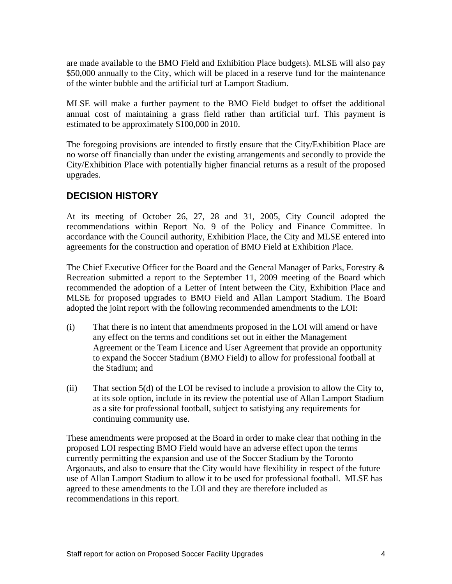are made available to the BMO Field and Exhibition Place budgets). MLSE will also pay \$50,000 annually to the City, which will be placed in a reserve fund for the maintenance of the winter bubble and the artificial turf at Lamport Stadium.

MLSE will make a further payment to the BMO Field budget to offset the additional annual cost of maintaining a grass field rather than artificial turf. This payment is estimated to be approximately \$100,000 in 2010.

The foregoing provisions are intended to firstly ensure that the City/Exhibition Place are no worse off financially than under the existing arrangements and secondly to provide the City/Exhibition Place with potentially higher financial returns as a result of the proposed upgrades.

#### **DECISION HISTORY**

At its meeting of October 26, 27, 28 and 31, 2005, City Council adopted the recommendations within Report No. 9 of the Policy and Finance Committee. In accordance with the Council authority, Exhibition Place, the City and MLSE entered into agreements for the construction and operation of BMO Field at Exhibition Place.

The Chief Executive Officer for the Board and the General Manager of Parks, Forestry & Recreation submitted a report to the September 11, 2009 meeting of the Board which recommended the adoption of a Letter of Intent between the City, Exhibition Place and MLSE for proposed upgrades to BMO Field and Allan Lamport Stadium. The Board adopted the joint report with the following recommended amendments to the LOI:

- (i) That there is no intent that amendments proposed in the LOI will amend or have any effect on the terms and conditions set out in either the Management Agreement or the Team Licence and User Agreement that provide an opportunity to expand the Soccer Stadium (BMO Field) to allow for professional football at the Stadium; and
- (ii) That section 5(d) of the LOI be revised to include a provision to allow the City to, at its sole option, include in its review the potential use of Allan Lamport Stadium as a site for professional football, subject to satisfying any requirements for continuing community use.

These amendments were proposed at the Board in order to make clear that nothing in the proposed LOI respecting BMO Field would have an adverse effect upon the terms currently permitting the expansion and use of the Soccer Stadium by the Toronto Argonauts, and also to ensure that the City would have flexibility in respect of the future use of Allan Lamport Stadium to allow it to be used for professional football. MLSE has agreed to these amendments to the LOI and they are therefore included as recommendations in this report.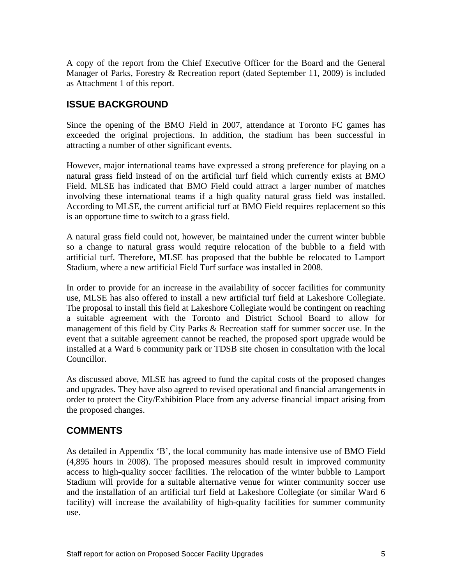A copy of the report from the Chief Executive Officer for the Board and the General Manager of Parks, Forestry & Recreation report (dated September 11, 2009) is included as Attachment 1 of this report.

### **ISSUE BACKGROUND**

Since the opening of the BMO Field in 2007, attendance at Toronto FC games has exceeded the original projections. In addition, the stadium has been successful in attracting a number of other significant events.

However, major international teams have expressed a strong preference for playing on a natural grass field instead of on the artificial turf field which currently exists at BMO Field. MLSE has indicated that BMO Field could attract a larger number of matches involving these international teams if a high quality natural grass field was installed. According to MLSE, the current artificial turf at BMO Field requires replacement so this is an opportune time to switch to a grass field.

A natural grass field could not, however, be maintained under the current winter bubble so a change to natural grass would require relocation of the bubble to a field with artificial turf. Therefore, MLSE has proposed that the bubble be relocated to Lamport Stadium, where a new artificial Field Turf surface was installed in 2008.

In order to provide for an increase in the availability of soccer facilities for community use, MLSE has also offered to install a new artificial turf field at Lakeshore Collegiate. The proposal to install this field at Lakeshore Collegiate would be contingent on reaching a suitable agreement with the Toronto and District School Board to allow for management of this field by City Parks & Recreation staff for summer soccer use. In the event that a suitable agreement cannot be reached, the proposed sport upgrade would be installed at a Ward 6 community park or TDSB site chosen in consultation with the local Councillor.

As discussed above, MLSE has agreed to fund the capital costs of the proposed changes and upgrades. They have also agreed to revised operational and financial arrangements in order to protect the City/Exhibition Place from any adverse financial impact arising from the proposed changes.

#### **COMMENTS**

As detailed in Appendix 'B', the local community has made intensive use of BMO Field (4,895 hours in 2008). The proposed measures should result in improved community access to high-quality soccer facilities. The relocation of the winter bubble to Lamport Stadium will provide for a suitable alternative venue for winter community soccer use and the installation of an artificial turf field at Lakeshore Collegiate (or similar Ward 6 facility) will increase the availability of high-quality facilities for summer community use.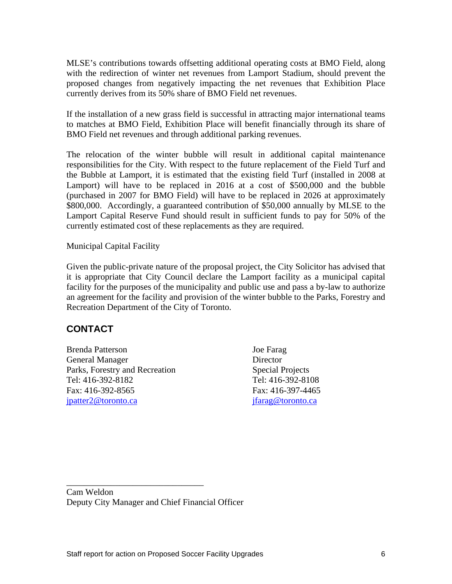MLSE's contributions towards offsetting additional operating costs at BMO Field, along with the redirection of winter net revenues from Lamport Stadium, should prevent the proposed changes from negatively impacting the net revenues that Exhibition Place currently derives from its 50% share of BMO Field net revenues.

If the installation of a new grass field is successful in attracting major international teams to matches at BMO Field, Exhibition Place will benefit financially through its share of BMO Field net revenues and through additional parking revenues.

The relocation of the winter bubble will result in additional capital maintenance responsibilities for the City. With respect to the future replacement of the Field Turf and the Bubble at Lamport, it is estimated that the existing field Turf (installed in 2008 at Lamport) will have to be replaced in 2016 at a cost of \$500,000 and the bubble (purchased in 2007 for BMO Field) will have to be replaced in 2026 at approximately \$800,000. Accordingly, a guaranteed contribution of \$50,000 annually by MLSE to the Lamport Capital Reserve Fund should result in sufficient funds to pay for 50% of the currently estimated cost of these replacements as they are required.

Municipal Capital Facility

Given the public-private nature of the proposal project, the City Solicitor has advised that it is appropriate that City Council declare the Lamport facility as a municipal capital facility for the purposes of the municipality and public use and pass a by-law to authorize an agreement for the facility and provision of the winter bubble to the Parks, Forestry and Recreation Department of the City of Toronto.

#### **CONTACT**

Brenda Patterson Joe Farag General Manager **Director** Director Parks, Forestry and Recreation Special Projects Tel: 416-392-8182 Tel: 416-392-8108 Fax: 416-392-8565 Fax: 416-397-4465 jpatter2@toronto.ca jfarag@toronto.ca

Cam Weldon Deputy City Manager and Chief Financial Officer

 $\overline{\phantom{a}}$  , we can assume that the contract of  $\overline{\phantom{a}}$  , we can assume that the contract of  $\overline{\phantom{a}}$